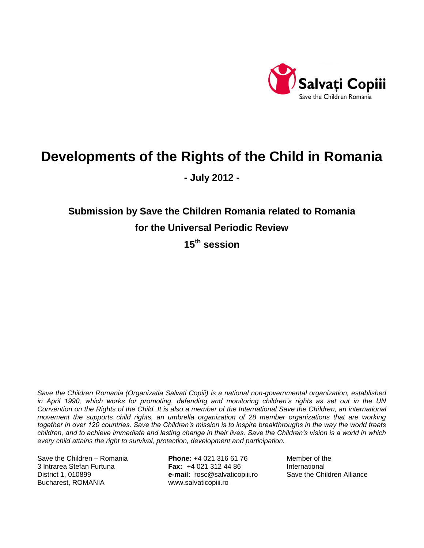

# **Developments of the Rights of the Child in Romania**

**- July 2012 -**

**Submission by Save the Children Romania related to Romania for the Universal Periodic Review** 

**15th session** 

*Save the Children Romania (Organizatia Salvati Copiii) is a national non-governmental organization, established in April 1990, which works for promoting, defending and monitoring children's rights as set out in the UN Convention on the Rights of the Child. It is also a member of the International Save the Children, an international movement the supports child rights, an umbrella organization of 28 member organizations that are working together in over 120 countries. Save the Children's mission is to inspire breakthroughs in the way the world treats children, and to achieve immediate and lasting change in their lives. Save the Children's vision is a world in which every child attains the right to survival, protection, development and participation.*

Save the Children – Romania **Phone:** +4 021 316 61 76 Member of the 3 Intrarea Stefan Furtuna **Fax:** +4 021 312 44 86 International District 1, 010899 **e-mail:** [rosc@salvaticopiii.ro](mailto:rosc@salvaticopiii.ro) Save the Children Alliance Bucharest, ROMANIA [www.salvaticopiii.ro](http://www.salvaticopiii.ro/)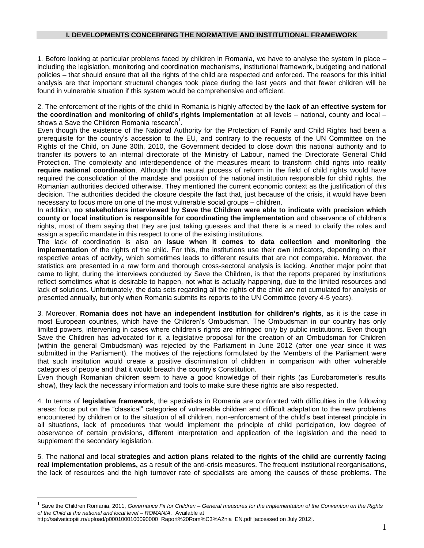#### **I. DEVELOPMENTS CONCERNING THE NORMATIVE AND INSTITUTIONAL FRAMEWORK**

1. Before looking at particular problems faced by children in Romania, we have to analyse the system in place – including the legislation, monitoring and coordination mechanisms, institutional framework, budgeting and national policies – that should ensure that all the rights of the child are respected and enforced. The reasons for this initial analysis are that important structural changes took place during the last years and that fewer children will be found in vulnerable situation if this system would be comprehensive and efficient.

2. The enforcement of the rights of the child in Romania is highly affected by **the lack of an effective system for the coordination and monitoring of child's rights implementation** at all levels – national, county and local – shows a Save the Children Romania research<sup>1</sup>.

Even though the existence of the National Authority for the Protection of Family and Child Rights had been a prerequisite for the country's accession to the EU, and contrary to the requests of the UN Committee on the Rights of the Child, on June 30th, 2010, the Government decided to close down this national authority and to transfer its powers to an internal directorate of the Ministry of Labour, named the Directorate General Child Protection. The complexity and interdependence of the measures meant to transform child rights into reality **require national coordination**. Although the natural process of reform in the field of child rights would have required the consolidation of the mandate and position of the national institution responsible for child rights, the Romanian authorities decided otherwise. They mentioned the current economic context as the justification of this decision. The authorities decided the closure despite the fact that, just because of the crisis, it would have been necessary to focus more on one of the most vulnerable social groups – children.

In addition, **no stakeholders interviewed by Save the Children were able to indicate with precision which county or local institution is responsible for coordinating the implementation** and observance of children's rights, most of them saying that they are just taking guesses and that there is a need to clarify the roles and assign a specific mandate in this respect to one of the existing institutions.

The lack of coordination is also an **issue when it comes to data collection and monitoring the implementation** of the rights of the child. For this, the institutions use their own indicators, depending on their respective areas of activity, which sometimes leads to different results that are not comparable. Moreover, the statistics are presented in a raw form and thorough cross-sectoral analysis is lacking. Another major point that came to light, during the interviews conducted by Save the Children, is that the reports prepared by institutions reflect sometimes what is desirable to happen, not what is actually happening, due to the limited resources and lack of solutions. Unfortunately, the data sets regarding all the rights of the child are not cumulated for analysis or presented annually, but only when Romania submits its reports to the UN Committee (every 4-5 years).

3. Moreover, **Romania does not have an independent institution for children's rights**, as it is the case in most European countries, which have the Children's Ombudsman. The Ombudsman in our country has only limited powers, intervening in cases where children's rights are infringed only by public institutions. Even though Save the Children has advocated for it, a legislative proposal for the creation of an Ombudsman for Children (within the general Ombudsman) was rejected by the Parliament in June 2012 (after one year since it was submitted in the Parliament). The motives of the rejections formulated by the Members of the Parliament were that such institution would create a positive discrimination of children in comparison with other vulnerable categories of people and that it would breach the country's Constitution.

Even though Romanian children seem to have a good knowledge of their rights (as Eurobarometer's results show), they lack the necessary information and tools to make sure these rights are also respected.

4. In terms of **legislative framework**, the specialists in Romania are confronted with difficulties in the following areas: focus put on the "classical" categories of vulnerable children and difficult adaptation to the new problems encountered by children or to the situation of all children, non-enforcement of the child's best interest principle in all situations, lack of procedures that would implement the principle of child participation, low degree of observance of certain provisions, different interpretation and application of the legislation and the need to supplement the secondary legislation.

5. The national and local **strategies and action plans related to the rights of the child are currently facing real implementation problems,** as a result of the anti-crisis measures. The frequent institutional reorganisations, the lack of resources and the high turnover rate of specialists are among the causes of these problems. The

 $\overline{a}$ 

<sup>1</sup> Save the Children Romania, 2011, *Governance Fit for Children – General measures for the implementation of the Convention on the Rights of the Child at the national and local level – ROMANIA*. Available at

[http://salvaticopiii.ro/upload/p0001000100090000\\_Raport%20Rom%C3%A2nia\\_EN.pdf](http://salvaticopiii.ro/upload/p0001000100090000_Raport%20Rom%C3%A2nia_EN.pdf) [accessed on July 2012].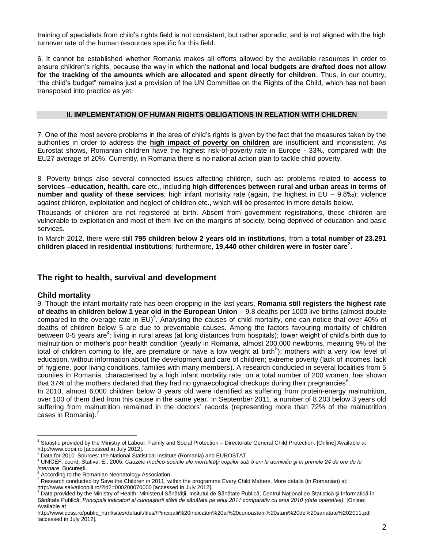training of specialists from child's rights field is not consistent, but rather sporadic, and is not aligned with the high turnover rate of the human resources specific for this field.

6. It cannot be established whether Romania makes all efforts allowed by the available resources in order to ensure children's rights, because the way in which **the national and local budgets are drafted does not allow for the tracking of the amounts which are allocated and spent directly for children**. Thus, in our country, "the child's budget" remains just a provision of the UN Committee on the Rights of the Child, which has not been transposed into practice as yet.

### **II. IMPLEMENTATION OF HUMAN RIGHTS OBLIGATIONS IN RELATION WITH CHILDREN**

7. One of the most severe problems in the area of child's rights is given by the fact that the measures taken by the authorities in order to address the **high impact of poverty on children** are insufficient and inconsistent. As Eurostat shows, Romanian children have the highest risk-of-poverty rate in Europe - 33%, compared with the EU27 average of 20%. Currently, in Romania there is no national action plan to tackle child poverty.

8. Poverty brings also several connected issues affecting children, such as: problems related to **access to services –education, health, care** etc., including **high differences between rural and urban areas in terms of number and quality of these services**; high infant mortality rate (again, the highest in EU – 9.8‰); violence against children, exploitation and neglect of children etc., which will be presented in more details below.

Thousands of children are not registered at birth. Absent from government registrations, these children are vulnerable to exploitation and most of them live on the margins of society, being deprived of education and basic services.

In March 2012, there were still **795 children below 2 years old in institutions**, from a **total number of 23.291 children placed in residential institutions**; furthermore, 19,440 other children were in foster care<sup>2</sup>.

# **The right to health, survival and development**

## **Child mortality**

 $\overline{a}$ 

9. Though the infant mortality rate has been dropping in the last years, **Romania still registers the highest rate of deaths in children below 1 year old in the European Union** – 9.8 deaths per 1000 live births (almost double compared to the overage rate in EU)<sup>3</sup>. Analysing the causes of child mortality, one can notice that over 40% of deaths of children below 5 are due to preventable causes. Among the factors favouring mortality of children between 0-5 years are<sup>4</sup>: living in rural areas (at long distances from hospitals); lower weight of child's birth due to malnutrition or mother's poor health condition (yearly in Romania, almost 200,000 newborns, meaning 9% of the total of children coming to life, are premature or have a low weight at birth<sup>5</sup>); mothers with a very low level of education, without information about the development and care of children; extreme poverty (lack of incomes, lack of hygiene, poor living conditions, families with many members). A research conducted in several localities from 5 counties in Romania, characterised by a high infant mortality rate, on a total number of 200 women, has shown that 37% of the mothers declared that they had no gynaecological checkups during their pregnancies<sup>6</sup>.

In 2010, almost 6,000 children below 3 years old were identified as suffering from protein-energy malnutrition, over 100 of them died from this cause in the same year. In September 2011, a number of 8.203 below 3 years old suffering from malnutrition remained in the doctors' records (representing more than 72% of the malnutrition cases in Romania).<sup>7</sup>

<sup>&</sup>lt;sup>2</sup> Statistic provided by the Ministry of Labour, Family and Social Protection – Directorate General Child Protection. [Online] Available at http://www.copii.ro [accessed in July 2012].

Data for 2010. Sources: the National Statistical Institute (Romania) and EUROSTAT.

<sup>4</sup> UNICEF, coord. Stativă, E., 2005. *Cauzele medico-sociale ale mortalităţii copiilor sub 5 ani la domiciliu şi în primele 24 de ore de la internare*. Bucureşti.

According to the Romanian Neonatology Association

<sup>6</sup> Research conducted by Save the Children in 2011, within the programme Every Child Matters. More details (in Romanian) at: <http://www.salvaticopiii.ro/?id2=000200070000> [accessed in July 2012].

 $^7$  Data provided by the Ministry of Health: Ministerul Sănătății, Insitutul de Sănătate Publică, Centrul Național de Statistică și Informatică în Sănătate Publică, *Principalii indicatori ai cunoaşterii stării de sănătate pe anul 2011 comparativ cu anul 2010 (date operative).* [Online] Available at

[http://www.ccss.ro/public\\_html/sites/default/files//Pincipalii%20indicatori%20ai%20cunoasterii%20starii%20de%20sanatate%202011.pdf](http://www.ccss.ro/public_html/sites/default/files/Pincipalii%20indicatori%20ai%20cunoasterii%20starii%20de%20sanatate%202011.pdf) [accessed in July 2012].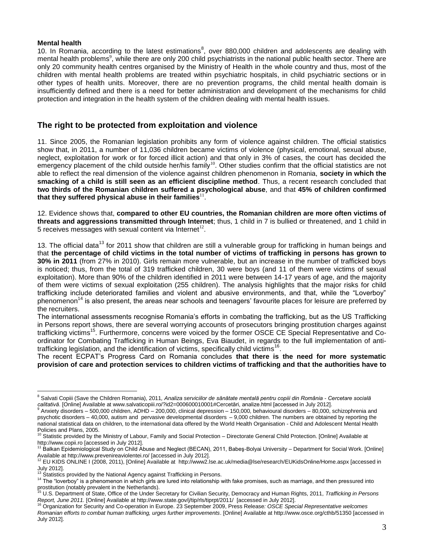#### **Mental health**

 $\overline{a}$ 

10. In Romania, according to the latest estimations<sup>8</sup>, over 880,000 children and adolescents are dealing with mental health problems<sup>9</sup>, while there are only 200 child psychiatrists in the national public health sector. There are only 20 community health centres organised by the Ministry of Health in the whole country and thus, most of the children with mental health problems are treated within psychiatric hospitals, in child psychiatric sections or in other types of health units. Moreover, there are no prevention programs, the child mental health domain is insufficiently defined and there is a need for better administration and development of the mechanisms for child protection and integration in the health system of the children dealing with mental health issues.

## **The right to be protected from exploitation and violence**

11. Since 2005, the Romanian legislation prohibits any form of violence against children. The official statistics show that, in 2011, a number of 11,036 children became victims of violence (physical, emotional, sexual abuse, neglect, exploitation for work or for forced illicit action) and that only in 3% of cases, the court has decided the emergency placement of the child outside her/his family<sup>10</sup>. Other studies confirm that the official statistics are not able to reflect the real dimension of the violence against children phenomenon in Romania, **society in which the smacking of a child is still seen as an efficient discipline method**. Thus, a recent research concluded that **two thirds of the Romanian children suffered a psychological abuse**, and that **45% of children confirmed**  that they suffered physical abuse in their families $^{\rm 11}$ .

12. Evidence shows that, **compared to other EU countries, the Romanian children are more often victims of threats and aggressions transmitted through Internet**; thus, 1 child in 7 is bullied or threatened, and 1 child in 5 receives messages with sexual content via Internet<sup>12</sup>.

13. The official data<sup>13</sup> for 2011 show that children are still a vulnerable group for trafficking in human beings and that **the percentage of child victims in the total number of victims of trafficking in persons has grown to 30% in 2011** (from 27% in 2010). Girls remain more vulnerable, but an increase in the number of trafficked boys is noticed; thus, from the total of 319 trafficked children, 30 were boys (and 11 of them were victims of sexual exploitation). More than 90% of the children identified in 2011 were between 14-17 years of age, and the majority of them were victims of sexual exploitation (255 children). The analysis highlights that the major risks for child trafficking include deteriorated families and violent and abusive environments, and that, while the "Loverboy" phenomenon<sup>14</sup> is also present, the areas near schools and teenagers' favourite places for leisure are preferred by the recruiters.

The international assessments recognise Romania's efforts in combating the trafficking, but as the US Trafficking in Persons report shows, there are several worrying accounts of prosecutors bringing prostitution charges against trafficking victims<sup>15</sup>. Furthermore, concerns were voiced by the former OSCE CE Special Representative and Coordinator for Combating Trafficking in Human Beings, Eva Biaudet, in regards to the full implementation of antitrafficking legislation, and the identification of victims, specifically child victims<sup>16</sup>.

The recent ECPAT's Progress Card on Romania concludes **that there is the need for more systematic provision of care and protection services to children victims of trafficking and that the authorities have to** 

<sup>8</sup> Salvati Copiii (Save the Children Romania), 2011*, Analiza serviciilor de sănătate mentală pentru copiii din România - Cercetare socială calitativă*. [Online] Available at www.salvaticopiii.ro/?id2=000600010001#Cercetări, analize.html [accessed in July 2012].

 $9$  Anxiety disorders – 500,000 children, ADHD – 200,000, clinical depression – 150,000, behavioural disorders – 80,000, schizophrenia and psychotic disorders – 40,000, autism and pervasive developmental disorders – 9,000 children. The numbers are obtained by reporting the national statistical data on children, to the international data offered by the World Health Organisation - Child and Adolescent Mental Health Policies and Plans, 2005.

Statistic provided by the Ministry of Labour, Family and Social Protection – Directorate General Child Protection. [Online] Available at [http://www.copii.ro](http://www.copii.ro/) [accessed in July 2012].

<sup>11</sup> Balkan Epidemiological Study on Child Abuse and Neglect (BECAN), 2011, Babeş-Bolyai University – Department for Social Work. [Online]

Available a[t http://www.prevenireaviolentei.ro/](http://www.prevenireaviolentei.ro/) [accessed in July 2012].<br><sup>12</sup> EU KIDS ONLINE I (2008, 2011), [Online] Available at <http://www2.lse.ac.uk/media@lse/research/EUKidsOnline/Home.aspx> [accessed in July 2012].

Statistics provided by the National Agency against Trafficking in Persons.

<sup>&</sup>lt;sup>14</sup> The "loverboy" is a phenomenon in which girls are lured into relationship with fake promises, such as marriage, and then pressured into prostitution (notably prevalent in the Netherlands).

<sup>15</sup> U.S. Department of State, Office of the Under Secretary for Civilian Security, Democracy and Human Rights, 2011*, Trafficking in Persons*  Report, June 2011. [Online] Available at http://www.state.gov/j/tip/rls/tiprpt/2011/ [accessed in July 2012].<br><sup>16</sup> Organization for Security and Co-operation in Europe. 23 September 2009, Press Release*: OSCE Special Repre* 

*Romanian efforts to combat human trafficking, urges further improvements*. [Online] Available a[t http://www.osce.org/cthb/51350](http://www.osce.org/cthb/51350) [accessed in July 2012].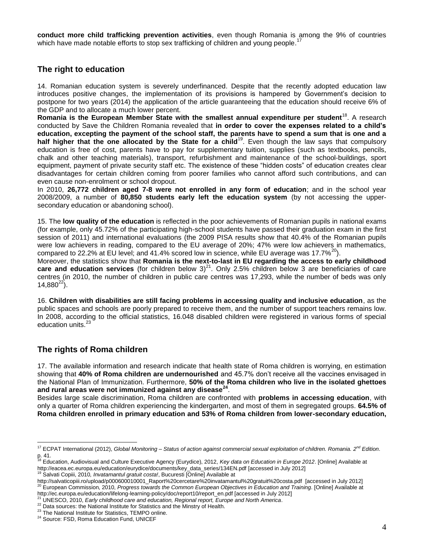**conduct more child trafficking prevention activities**, even though Romania is among the 9% of countries which have made notable efforts to stop sex trafficking of children and young people.<sup>17</sup>

# **The right to education**

14. Romanian education system is severely underfinanced. Despite that the recently adopted education law introduces positive changes, the implementation of its provisions is hampered by Government's decision to postpone for two years (2014) the application of the article guaranteeing that the education should receive 6% of the GDP and to allocate a much lower percent.

**Romania is the European Member State with the smallest annual expenditure per student**<sup>18</sup> . A research conducted by Save the Children Romania revealed that **in order to cover the expenses related to a child's education, excepting the payment of the school staff, the parents have to spend a sum that is one and a**  half higher that the one allocated by the State for a child<sup>19</sup>. Even though the law says that compulsory education is free of cost, parents have to pay for supplementary tuition, supplies (such as textbooks, pencils, chalk and other teaching materials), transport, refurbishment and maintenance of the school-buildings, sport equipment, payment of private security staff etc. The existence of these "hidden costs" of education creates clear disadvantages for certain children coming from poorer families who cannot afford such contributions, and can even cause non-enrolment or school dropout.

In 2010, **26,772 children aged 7-8 were not enrolled in any form of education**; and in the school year 2008/2009, a number of **80,850 students early left the education system** (by not accessing the uppersecondary education or abandoning school).

15. The **low quality of the education** is reflected in the poor achievements of Romanian pupils in national exams (for example, only 45.72% of the participating high-school students have passed their graduation exam in the first session of 2011) and international evaluations (the 2009 PISA results show that 40.4% of the Romanian pupils were low achievers in reading, compared to the EU average of 20%; 47% were low achievers in mathematics, compared to 22.2% at EU level; and 41.4% scored low in science, while EU average was 17.7%<sup>20</sup>).

Moreover, the statistics show that **Romania is the next-to-last in EU regarding the access to early childhood**   $care$  and education services (for children below  $3)^{21}$ . Only 2.5% children below 3 are beneficiaries of care centres (in 2010, the number of children in public care centres was 17,293, while the number of beds was only  $14,880^{22}$ ).

16. **Children with disabilities are still facing problems in accessing quality and inclusive education**, as the public spaces and schools are poorly prepared to receive them, and the number of support teachers remains low. In 2008, according to the official statistics, 16.048 disabled children were registered in various forms of special education units.<sup>23</sup>

# **The rights of Roma children**

17. The available information and research indicate that health state of Roma children is worrying, en estimation showing that **40% of Roma children are undernourished** and 45.7% don't receive all the vaccines envisaged in the National Plan of Immunization. Furthermore, **50% of the Roma children who live in the isolated ghettoes and rural areas were not immunized against any disease<sup>24</sup>** .

Besides large scale discrimination, Roma children are confronted with **problems in accessing education**, with only a quarter of Roma children experiencing the kindergarten, and most of them in segregated groups. **64.5% of Roma children enrolled in primary education and 53% of Roma children from lower-secondary education,** 

<sup>19</sup> Salvati Copiii, 2010*, Invatamantul gratuit costa!*, Bucuresti [Online] Available at

 $\overline{a}$ <sup>17</sup> ECPAT International (2012), *Global Monitoring – Status of action against commercial sexual exploitation of children. Romania. 2nd Edition*.

p. 41. <sup>18</sup> Education, Audiovisual and Culture Executive Agency (Eurydice), 2012, *Key data on Education in Europe 2012*. [Online] Available at [http://eacea.ec.europa.eu/education/eurydice/documents/key\\_data\\_series/134EN.pdf](http://eacea.ec.europa.eu/education/eurydice/documents/key_data_series/134EN.pdf) [accessed in July 2012]

[http://salvaticopiii.ro/upload/p000600010001\\_Raport%20cercetare%20invatamantul%20gratuit%20costa.pdf](http://salvaticopiii.ro/upload/p000600010001_Raport%20cercetare%20invatamantul%20gratuit%20costa.pdf) [accessed in July 2012] <sup>20</sup> European Commission, 2010, *Progress towards the Common European Objectives in Education and Training*. [Online] Available at [http://ec.europa.eu/education/lifelong-learning-policy/doc/report10/report\\_en.pdf](http://ec.europa.eu/education/lifelong-learning-policy/doc/report10/report_en.pdf) [accessed in July 2012]

<sup>21</sup> UNESCO, 2010, *Early childhood care and education, Regional report, Europe and North America*.

<sup>&</sup>lt;sup>22</sup> Data sources: the National Institute for Statistics and the Minstry of Health.

<sup>&</sup>lt;sup>23</sup> The National Institute for Statistics, TEMPO online.

<sup>&</sup>lt;sup>24</sup> Source: FSD, Roma Education Fund, UNICEF